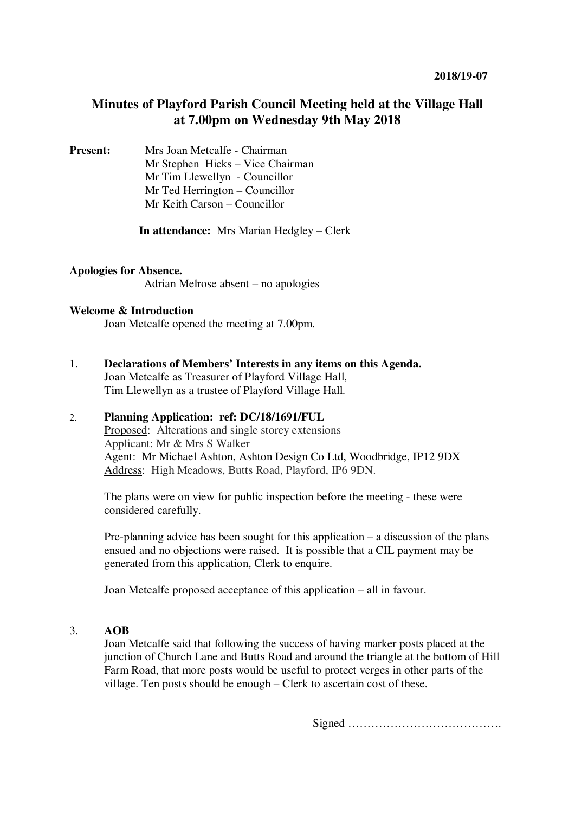# **Minutes of Playford Parish Council Meeting held at the Village Hall at 7.00pm on Wednesday 9th May 2018**

**Present:** Mrs Joan Metcalfe - Chairman Mr Stephen Hicks – Vice Chairman Mr Tim Llewellyn- Councillor Mr Ted Herrington – Councillor Mr Keith Carson – Councillor

**In attendance:** Mrs Marian Hedgley – Clerk

## **Apologies for Absence.**

Adrian Melrose absent – no apologies

## **Welcome & Introduction**

Joan Metcalfe opened the meeting at 7.00pm.

1. **Declarations of Members' Interests in any items on this Agenda.**  Joan Metcalfe as Treasurer of Playford Village Hall, Tim Llewellyn as a trustee of Playford Village Hall.

# 2. **Planning Application: ref: DC/18/1691/FUL**

Proposed: Alterations and single storey extensions Applicant: Mr & Mrs S Walker Agent: Mr Michael Ashton, Ashton Design Co Ltd, Woodbridge, IP12 9DX Address: High Meadows, Butts Road, Playford, IP6 9DN.

The plans were on view for public inspection before the meeting - these were considered carefully.

Pre-planning advice has been sought for this application – a discussion of the plans ensued and no objections were raised. It is possible that a CIL payment may be generated from this application, Clerk to enquire.

Joan Metcalfe proposed acceptance of this application – all in favour.

#### 3. **AOB**

Joan Metcalfe said that following the success of having marker posts placed at the junction of Church Lane and Butts Road and around the triangle at the bottom of Hill Farm Road, that more posts would be useful to protect verges in other parts of the village. Ten posts should be enough – Clerk to ascertain cost of these.

Signed ………………………………….